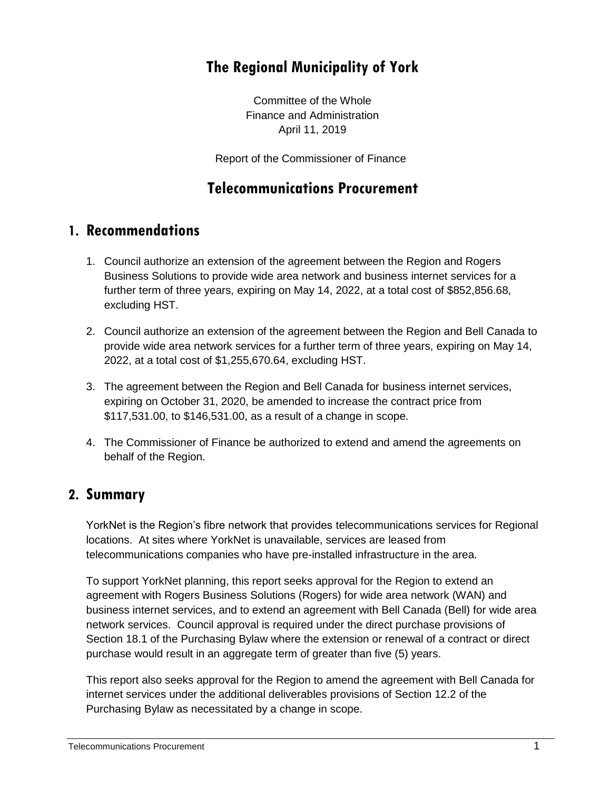# **The Regional Municipality of York**

Committee of the Whole Finance and Administration April 11, 2019

Report of the Commissioner of Finance

# **Telecommunications Procurement**

## **1. Recommendations**

- 1. Council authorize an extension of the agreement between the Region and Rogers Business Solutions to provide wide area network and business internet services for a further term of three years, expiring on May 14, 2022, at a total cost of \$852,856.68, excluding HST.
- 2. Council authorize an extension of the agreement between the Region and Bell Canada to provide wide area network services for a further term of three years, expiring on May 14, 2022, at a total cost of \$1,255,670.64, excluding HST.
- 3. The agreement between the Region and Bell Canada for business internet services, expiring on October 31, 2020, be amended to increase the contract price from \$117,531.00, to \$146,531.00, as a result of a change in scope.
- 4. The Commissioner of Finance be authorized to extend and amend the agreements on behalf of the Region.

## **2. Summary**

YorkNet is the Region's fibre network that provides telecommunications services for Regional locations. At sites where YorkNet is unavailable, services are leased from telecommunications companies who have pre-installed infrastructure in the area.

To support YorkNet planning, this report seeks approval for the Region to extend an agreement with Rogers Business Solutions (Rogers) for wide area network (WAN) and business internet services, and to extend an agreement with Bell Canada (Bell) for wide area network services. Council approval is required under the direct purchase provisions of Section 18.1 of the Purchasing Bylaw where the extension or renewal of a contract or direct purchase would result in an aggregate term of greater than five (5) years.

This report also seeks approval for the Region to amend the agreement with Bell Canada for internet services under the additional deliverables provisions of Section 12.2 of the Purchasing Bylaw as necessitated by a change in scope.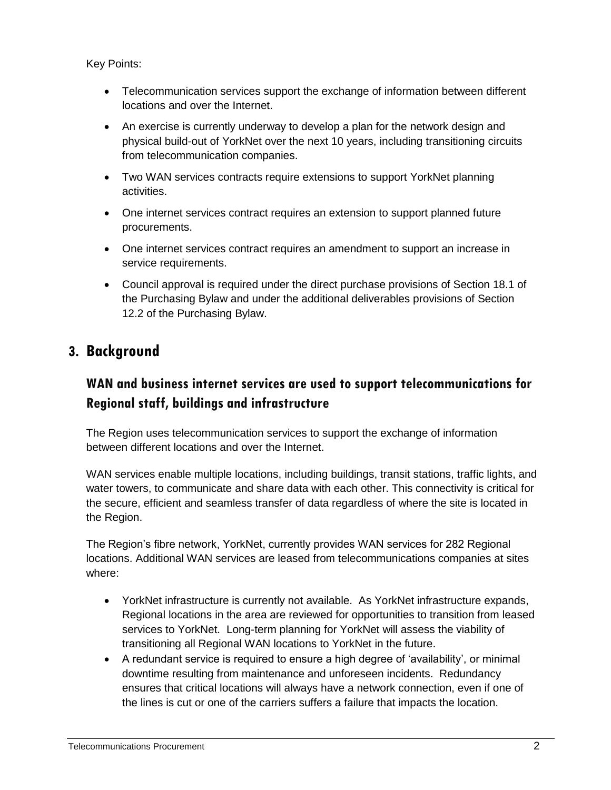Key Points:

- Telecommunication services support the exchange of information between different locations and over the Internet.
- An exercise is currently underway to develop a plan for the network design and physical build-out of YorkNet over the next 10 years, including transitioning circuits from telecommunication companies.
- Two WAN services contracts require extensions to support YorkNet planning activities.
- One internet services contract requires an extension to support planned future procurements.
- One internet services contract requires an amendment to support an increase in service requirements.
- Council approval is required under the direct purchase provisions of Section 18.1 of the Purchasing Bylaw and under the additional deliverables provisions of Section 12.2 of the Purchasing Bylaw.

# **3. Background**

# **WAN and business internet services are used to support telecommunications for Regional staff, buildings and infrastructure**

The Region uses telecommunication services to support the exchange of information between different locations and over the Internet.

WAN services enable multiple locations, including buildings, transit stations, traffic lights, and water towers, to communicate and share data with each other. This connectivity is critical for the secure, efficient and seamless transfer of data regardless of where the site is located in the Region.

The Region's fibre network, YorkNet, currently provides WAN services for 282 Regional locations. Additional WAN services are leased from telecommunications companies at sites where:

- YorkNet infrastructure is currently not available. As YorkNet infrastructure expands, Regional locations in the area are reviewed for opportunities to transition from leased services to YorkNet. Long-term planning for YorkNet will assess the viability of transitioning all Regional WAN locations to YorkNet in the future.
- A redundant service is required to ensure a high degree of 'availability', or minimal downtime resulting from maintenance and unforeseen incidents. Redundancy ensures that critical locations will always have a network connection, even if one of the lines is cut or one of the carriers suffers a failure that impacts the location.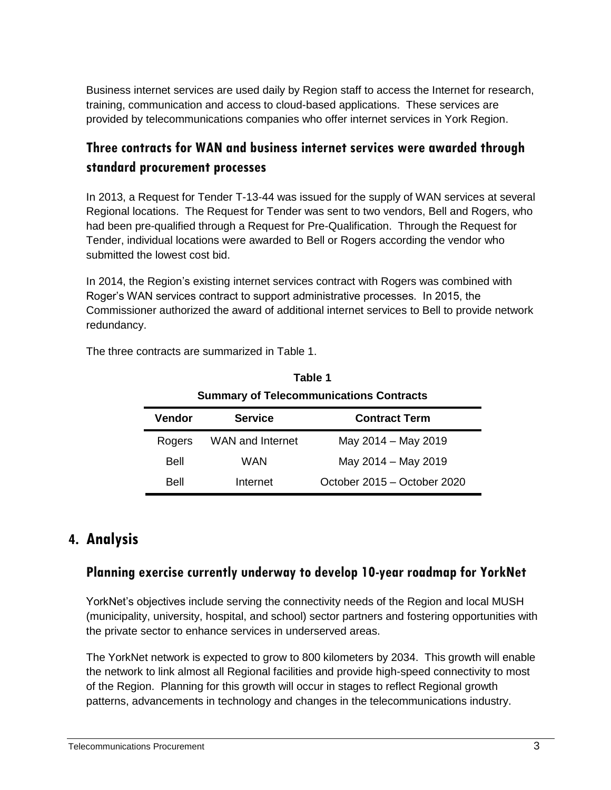Business internet services are used daily by Region staff to access the Internet for research, training, communication and access to cloud-based applications. These services are provided by telecommunications companies who offer internet services in York Region.

# **Three contracts for WAN and business internet services were awarded through standard procurement processes**

In 2013, a Request for Tender T-13-44 was issued for the supply of WAN services at several Regional locations. The Request for Tender was sent to two vendors, Bell and Rogers, who had been pre-qualified through a Request for Pre-Qualification. Through the Request for Tender, individual locations were awarded to Bell or Rogers according the vendor who submitted the lowest cost bid.

In 2014, the Region's existing internet services contract with Rogers was combined with Roger's WAN services contract to support administrative processes. In 2015, the Commissioner authorized the award of additional internet services to Bell to provide network redundancy.

| <b>Summary of Telecommunications Contracts</b> |                         |                             |  |  |
|------------------------------------------------|-------------------------|-----------------------------|--|--|
| Vendor                                         | <b>Service</b>          | <b>Contract Term</b>        |  |  |
| Rogers                                         | <b>WAN and Internet</b> | May 2014 - May 2019         |  |  |
| Bell                                           | WAN                     | May 2014 - May 2019         |  |  |
| Bell                                           | Internet                | October 2015 - October 2020 |  |  |

**Table 1**

The three contracts are summarized in Table 1.

## **4. Analysis**

## **Planning exercise currently underway to develop 10-year roadmap for YorkNet**

YorkNet's objectives include serving the connectivity needs of the Region and local MUSH (municipality, university, hospital, and school) sector partners and fostering opportunities with the private sector to enhance services in underserved areas.

The YorkNet network is expected to grow to 800 kilometers by 2034. This growth will enable the network to link almost all Regional facilities and provide high-speed connectivity to most of the Region. Planning for this growth will occur in stages to reflect Regional growth patterns, advancements in technology and changes in the telecommunications industry.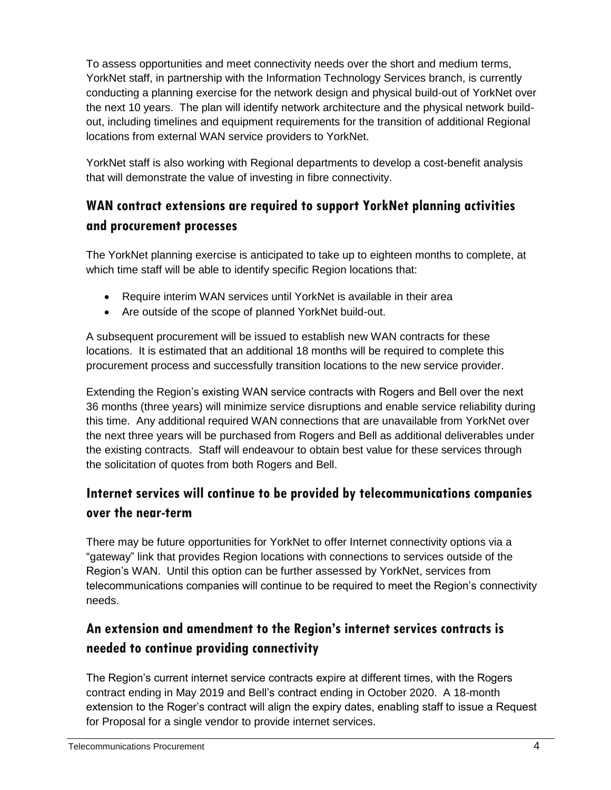To assess opportunities and meet connectivity needs over the short and medium terms, YorkNet staff, in partnership with the Information Technology Services branch, is currently conducting a planning exercise for the network design and physical build-out of YorkNet over the next 10 years. The plan will identify network architecture and the physical network buildout, including timelines and equipment requirements for the transition of additional Regional locations from external WAN service providers to YorkNet.

YorkNet staff is also working with Regional departments to develop a cost-benefit analysis that will demonstrate the value of investing in fibre connectivity.

# **WAN contract extensions are required to support YorkNet planning activities and procurement processes**

The YorkNet planning exercise is anticipated to take up to eighteen months to complete, at which time staff will be able to identify specific Region locations that:

- Require interim WAN services until YorkNet is available in their area
- Are outside of the scope of planned YorkNet build-out.

A subsequent procurement will be issued to establish new WAN contracts for these locations. It is estimated that an additional 18 months will be required to complete this procurement process and successfully transition locations to the new service provider.

Extending the Region's existing WAN service contracts with Rogers and Bell over the next 36 months (three years) will minimize service disruptions and enable service reliability during this time. Any additional required WAN connections that are unavailable from YorkNet over the next three years will be purchased from Rogers and Bell as additional deliverables under the existing contracts. Staff will endeavour to obtain best value for these services through the solicitation of quotes from both Rogers and Bell.

# **Internet services will continue to be provided by telecommunications companies over the near-term**

There may be future opportunities for YorkNet to offer Internet connectivity options via a "gateway" link that provides Region locations with connections to services outside of the Region's WAN. Until this option can be further assessed by YorkNet, services from telecommunications companies will continue to be required to meet the Region's connectivity needs.

# **An extension and amendment to the Region's internet services contracts is needed to continue providing connectivity**

The Region's current internet service contracts expire at different times, with the Rogers contract ending in May 2019 and Bell's contract ending in October 2020. A 18-month extension to the Roger's contract will align the expiry dates, enabling staff to issue a Request for Proposal for a single vendor to provide internet services.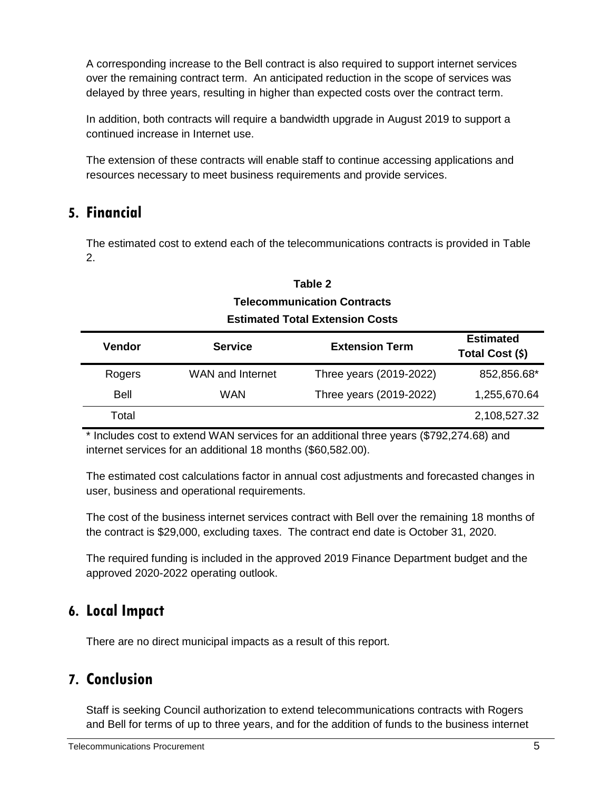A corresponding increase to the Bell contract is also required to support internet services over the remaining contract term. An anticipated reduction in the scope of services was delayed by three years, resulting in higher than expected costs over the contract term.

In addition, both contracts will require a bandwidth upgrade in August 2019 to support a continued increase in Internet use.

The extension of these contracts will enable staff to continue accessing applications and resources necessary to meet business requirements and provide services.

# **5. Financial**

The estimated cost to extend each of the telecommunications contracts is provided in Table 2.

#### **Table 2 Telecommunication Contracts Estimated Total Extension Costs**

| <b>Vendor</b> | <b>Service</b>   | <b>Extension Term</b>   | <b>Estimated</b><br>Total Cost (\$) |
|---------------|------------------|-------------------------|-------------------------------------|
| Rogers        | WAN and Internet | Three years (2019-2022) | 852,856.68*                         |
| <b>Bell</b>   | <b>WAN</b>       | Three years (2019-2022) | 1,255,670.64                        |
| Total         |                  |                         | 2,108,527.32                        |

\* Includes cost to extend WAN services for an additional three years (\$792,274.68) and internet services for an additional 18 months (\$60,582.00).

The estimated cost calculations factor in annual cost adjustments and forecasted changes in user, business and operational requirements.

The cost of the business internet services contract with Bell over the remaining 18 months of the contract is \$29,000, excluding taxes. The contract end date is October 31, 2020.

The required funding is included in the approved 2019 Finance Department budget and the approved 2020-2022 operating outlook.

## **6. Local Impact**

There are no direct municipal impacts as a result of this report.

# **7. Conclusion**

Staff is seeking Council authorization to extend telecommunications contracts with Rogers and Bell for terms of up to three years, and for the addition of funds to the business internet